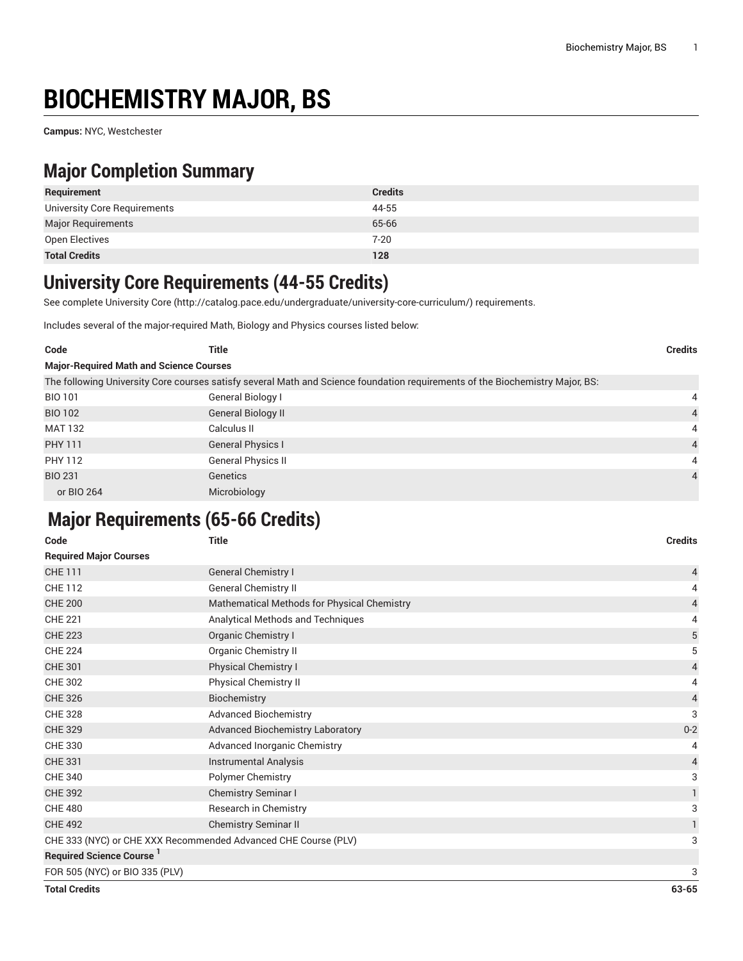# **BIOCHEMISTRY MAJOR, BS**

**Campus:** NYC, Westchester

### **Major Completion Summary**

| Requirement                  | <b>Credits</b> |
|------------------------------|----------------|
| University Core Requirements | 44-55          |
| <b>Major Requirements</b>    | 65-66          |
| Open Electives               | $7 - 20$       |
| <b>Total Credits</b>         | 128            |

#### **University Core Requirements (44-55 Credits)**

See complete [University](http://catalog.pace.edu/undergraduate/university-core-curriculum/) Core (<http://catalog.pace.edu/undergraduate/university-core-curriculum/>) requirements.

Includes several of the major-required Math, Biology and Physics courses listed below:

| Code                                           | Title                                                                                                                         | <b>Credits</b> |  |  |
|------------------------------------------------|-------------------------------------------------------------------------------------------------------------------------------|----------------|--|--|
| <b>Major-Required Math and Science Courses</b> |                                                                                                                               |                |  |  |
|                                                | The following University Core courses satisfy several Math and Science foundation requirements of the Biochemistry Major, BS: |                |  |  |
| <b>BIO 101</b>                                 | General Biology I                                                                                                             | 4              |  |  |
| <b>BIO 102</b>                                 | <b>General Biology II</b>                                                                                                     | $\overline{4}$ |  |  |
| <b>MAT 132</b>                                 | Calculus II                                                                                                                   | $\overline{4}$ |  |  |
| <b>PHY 111</b>                                 | <b>General Physics I</b>                                                                                                      | $\overline{4}$ |  |  |
| PHY 112                                        | <b>General Physics II</b>                                                                                                     | 4              |  |  |
| <b>BIO 231</b>                                 | Genetics                                                                                                                      | $\overline{4}$ |  |  |
| or BIO 264                                     | Microbiology                                                                                                                  |                |  |  |

## **Major Requirements (65-66 Credits)**

| Code                                                           | <b>Title</b>                                | <b>Credits</b> |
|----------------------------------------------------------------|---------------------------------------------|----------------|
| <b>Required Major Courses</b>                                  |                                             |                |
| <b>CHE 111</b>                                                 | <b>General Chemistry I</b>                  | 4              |
| <b>CHE 112</b>                                                 | <b>General Chemistry II</b>                 | 4              |
| <b>CHE 200</b>                                                 | Mathematical Methods for Physical Chemistry | 4              |
| <b>CHE 221</b>                                                 | Analytical Methods and Techniques           | 4              |
| <b>CHE 223</b>                                                 | Organic Chemistry I                         | $\mathbf 5$    |
| <b>CHE 224</b>                                                 | <b>Organic Chemistry II</b>                 | 5              |
| <b>CHE 301</b>                                                 | Physical Chemistry I                        | 4              |
| <b>CHE 302</b>                                                 | Physical Chemistry II                       | 4              |
| <b>CHE 326</b>                                                 | Biochemistry                                | $\overline{4}$ |
| <b>CHE 328</b>                                                 | <b>Advanced Biochemistry</b>                | 3              |
| <b>CHE 329</b>                                                 | <b>Advanced Biochemistry Laboratory</b>     | $0 - 2$        |
| <b>CHE 330</b>                                                 | Advanced Inorganic Chemistry                | 4              |
| <b>CHE 331</b>                                                 | Instrumental Analysis                       | 4              |
| <b>CHE 340</b>                                                 | Polymer Chemistry                           | 3              |
| <b>CHE 392</b>                                                 | Chemistry Seminar I                         | 1              |
| <b>CHE 480</b>                                                 | Research in Chemistry                       | 3              |
| <b>CHE 492</b>                                                 | <b>Chemistry Seminar II</b>                 | 1              |
| CHE 333 (NYC) or CHE XXX Recommended Advanced CHE Course (PLV) |                                             | 3              |
| Required Science Course <sup>1</sup>                           |                                             |                |
| FOR 505 (NYC) or BIO 335 (PLV)                                 |                                             | 3              |

**Total Credits 63-65**